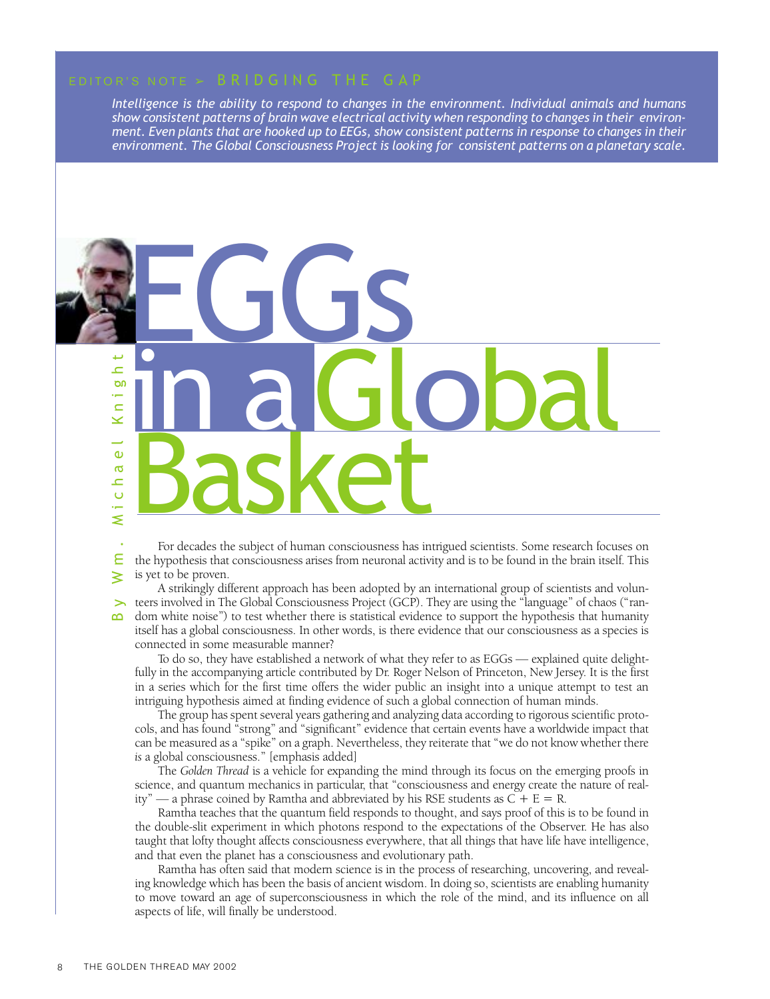*Intelligence is the ability to respond to changes in the environment. Individual animals and humans show consistent patterns of brain wave electrical activity when responding to changes in their environment. Even plants that are hooked up to EEGs, show consistent patterns in response to changes in their environment. The Global Consciousness Project is looking for consistent patterns on a planetary scale.*

# By Wm. Michael Knight in a Global Basket EGGS

For decades the subject of human consciousness has intrigued scientists. Some research focuses on the hypothesis that consciousness arises from neuronal activity and is to be found in the brain itself. This is yet to be proven.

A strikingly different approach has been adopted by an international group of scientists and volunteers involved in The Global Consciousness Project (GCP). They are using the "language" of chaos ("random white noise") to test whether there is statistical evidence to support the hypothesis that humanity itself has a global consciousness. In other words, is there evidence that our consciousness as a species is connected in some measurable manner?

To do so, they have established a network of what they refer to as EGGs — explained quite delightfully in the accompanying article contributed by Dr. Roger Nelson of Princeton, New Jersey. It is the first in a series which for the first time offers the wider public an insight into a unique attempt to test an intriguing hypothesis aimed at finding evidence of such a global connection of human minds.

The group has spent several years gathering and analyzing data according to rigorous scientific protocols, and has found "strong" and "significant" evidence that certain events have a worldwide impact that can be measured as a "spike" on a graph. Nevertheless, they reiterate that "we do not know whether there *is* a global consciousness." [emphasis added]

The *Golden Thread* is a vehicle for expanding the mind through its focus on the emerging proofs in science, and quantum mechanics in particular, that "consciousness and energy create the nature of reality" — a phrase coined by Ramtha and abbreviated by his RSE students as  $C + E = R$ .

Ramtha teaches that the quantum field responds to thought, and says proof of this is to be found in the double-slit experiment in which photons respond to the expectations of the Observer. He has also taught that lofty thought affects consciousness everywhere, that all things that have life have intelligence, and that even the planet has a consciousness and evolutionary path.

Ramtha has often said that modern science is in the process of researching, uncovering, and revealing knowledge which has been the basis of ancient wisdom. In doing so, scientists are enabling humanity to move toward an age of superconsciousness in which the role of the mind, and its influence on all aspects of life, will finally be understood.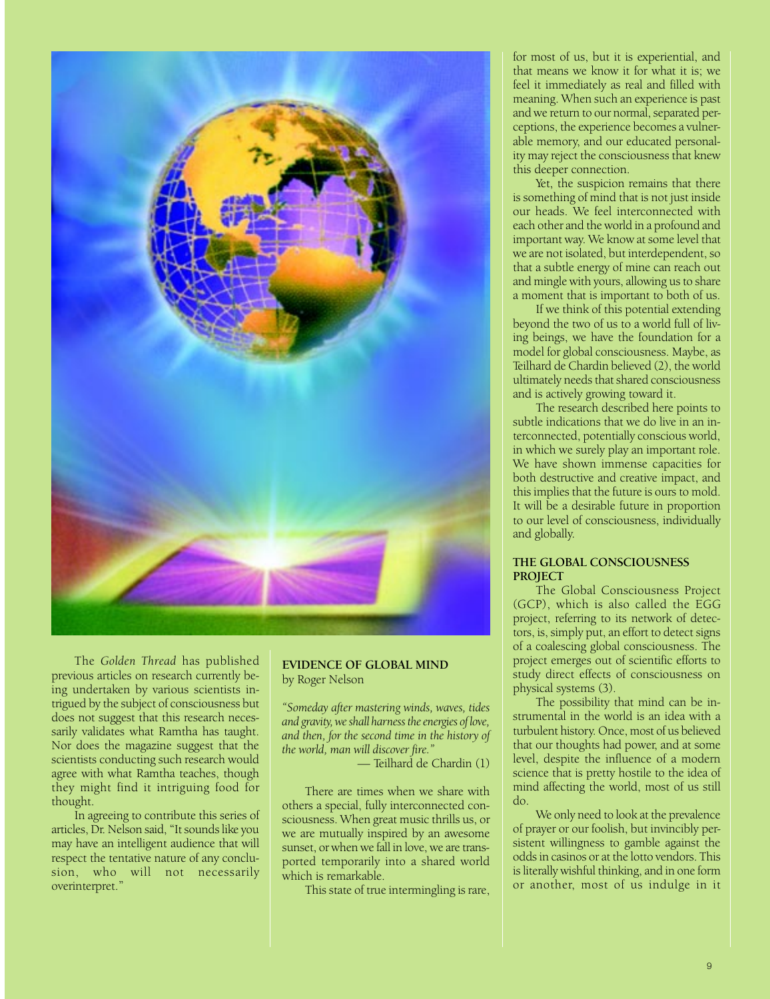

The *Golden Thread* has published previous articles on research currently being undertaken by various scientists intrigued by the subject of consciousness but does not suggest that this research necessarily validates what Ramtha has taught. Nor does the magazine suggest that the scientists conducting such research would agree with what Ramtha teaches, though they might find it intriguing food for thought.

In agreeing to contribute this series of articles, Dr. Nelson said, "It sounds like you may have an intelligent audience that will respect the tentative nature of any conclusion, who will not necessarily overinterpret."

#### **EVIDENCE OF GLOBAL MIND** by Roger Nelson

*"Someday after mastering winds, waves, tides and gravity, we shall harness the energies of love, and then, for the second time in the history of the world, man will discover fire."*

*—* Teilhard de Chardin (1)

There are times when we share with others a special, fully interconnected consciousness. When great music thrills us, or we are mutually inspired by an awesome sunset, or when we fall in love, we are transported temporarily into a shared world which is remarkable.

This state of true intermingling is rare,

for most of us, but it is experiential, and that means we know it for what it is; we feel it immediately as real and filled with meaning. When such an experience is past and we return to our normal, separated perceptions, the experience becomes a vulnerable memory, and our educated personality may reject the consciousness that knew this deeper connection.

Yet, the suspicion remains that there is something of mind that is not just inside our heads. We feel interconnected with each other and the world in a profound and important way. We know at some level that we are not isolated, but interdependent, so that a subtle energy of mine can reach out and mingle with yours, allowing us to share a moment that is important to both of us.

If we think of this potential extending beyond the two of us to a world full of living beings, we have the foundation for a model for global consciousness. Maybe, as Teilhard de Chardin believed (2), the world ultimately needs that shared consciousness and is actively growing toward it.

The research described here points to subtle indications that we do live in an interconnected, potentially conscious world, in which we surely play an important role. We have shown immense capacities for both destructive and creative impact, and this implies that the future is ours to mold. It will be a desirable future in proportion to our level of consciousness, individually and globally.

#### **THE GLOBAL CONSCIOUSNESS PROJECT**

The Global Consciousness Project (GCP), which is also called the EGG project, referring to its network of detectors, is, simply put, an effort to detect signs of a coalescing global consciousness. The project emerges out of scientific efforts to study direct effects of consciousness on physical systems (3).

The possibility that mind can be instrumental in the world is an idea with a turbulent history. Once, most of us believed that our thoughts had power, and at some level, despite the influence of a modern science that is pretty hostile to the idea of mind affecting the world, most of us still do.

We only need to look at the prevalence of prayer or our foolish, but invincibly persistent willingness to gamble against the odds in casinos or at the lotto vendors. This is literally wishful thinking, and in one form or another, most of us indulge in it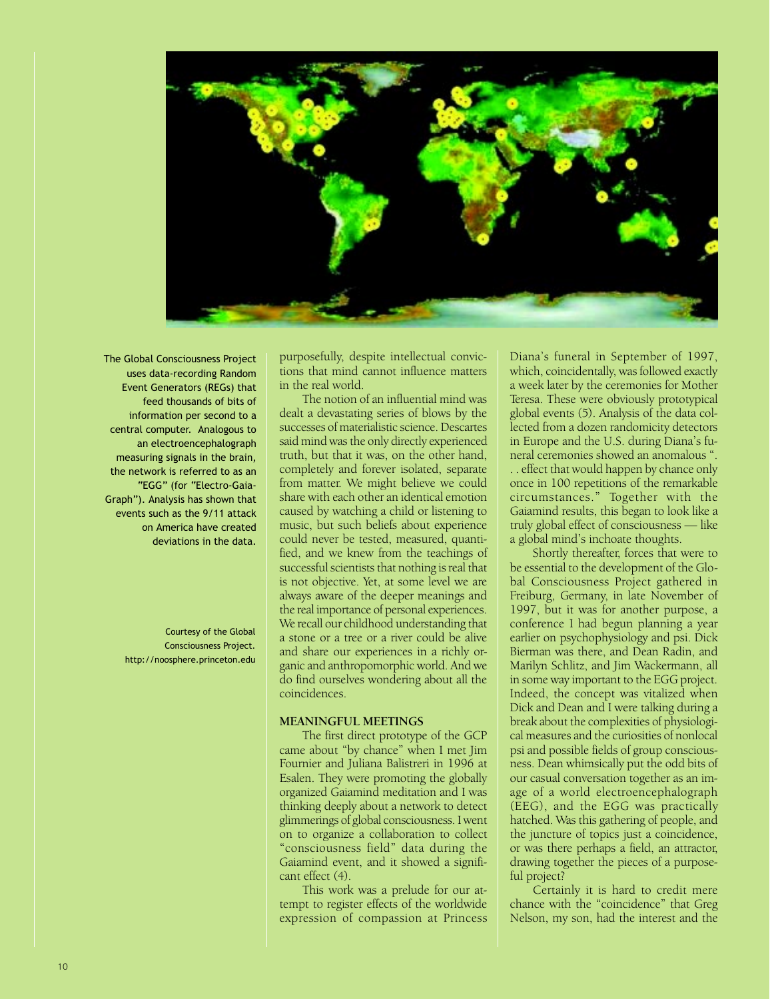

The Global Consciousness Project uses data-recording Random Event Generators (REGs) that feed thousands of bits of information per second to a central computer. Analogous to an electroencephalograph measuring signals in the brain, the network is referred to as an "EGG" (for "Electro-Gaia-Graph"). Analysis has shown that events such as the 9/11 attack on America have created deviations in the data.

> Courtesy of the Global Consciousness Project. http://noosphere.princeton.edu

purposefully, despite intellectual convictions that mind cannot influence matters in the real world.

The notion of an influential mind was dealt a devastating series of blows by the successes of materialistic science. Descartes said mind was the only directly experienced truth, but that it was, on the other hand, completely and forever isolated, separate from matter. We might believe we could share with each other an identical emotion caused by watching a child or listening to music, but such beliefs about experience could never be tested, measured, quantified, and we knew from the teachings of successful scientists that nothing is real that is not objective. Yet, at some level we are always aware of the deeper meanings and the real importance of personal experiences. We recall our childhood understanding that a stone or a tree or a river could be alive and share our experiences in a richly organic and anthropomorphic world. And we do find ourselves wondering about all the coincidences.

#### **MEANINGFUL MEETINGS**

The first direct prototype of the GCP came about "by chance" when I met Jim Fournier and Juliana Balistreri in 1996 at Esalen. They were promoting the globally organized Gaiamind meditation and I was thinking deeply about a network to detect glimmerings of global consciousness. I went on to organize a collaboration to collect "consciousness field" data during the Gaiamind event, and it showed a significant effect (4).

This work was a prelude for our attempt to register effects of the worldwide expression of compassion at Princess Diana's funeral in September of 1997, which, coincidentally, was followed exactly a week later by the ceremonies for Mother Teresa. These were obviously prototypical global events (5). Analysis of the data collected from a dozen randomicity detectors in Europe and the U.S. during Diana's funeral ceremonies showed an anomalous ". . . effect that would happen by chance only once in 100 repetitions of the remarkable circumstances." Together with the Gaiamind results, this began to look like a truly global effect of consciousness — like a global mind's inchoate thoughts.

Shortly thereafter, forces that were to be essential to the development of the Global Consciousness Project gathered in Freiburg, Germany, in late November of 1997, but it was for another purpose, a conference I had begun planning a year earlier on psychophysiology and psi. Dick Bierman was there, and Dean Radin, and Marilyn Schlitz, and Jim Wackermann, all in some way important to the EGG project. Indeed, the concept was vitalized when Dick and Dean and I were talking during a break about the complexities of physiological measures and the curiosities of nonlocal psi and possible fields of group consciousness. Dean whimsically put the odd bits of our casual conversation together as an image of a world electroencephalograph (EEG), and the EGG was practically hatched. Was this gathering of people, and the juncture of topics just a coincidence, or was there perhaps a field, an attractor, drawing together the pieces of a purposeful project?

Certainly it is hard to credit mere chance with the "coincidence" that Greg Nelson, my son, had the interest and the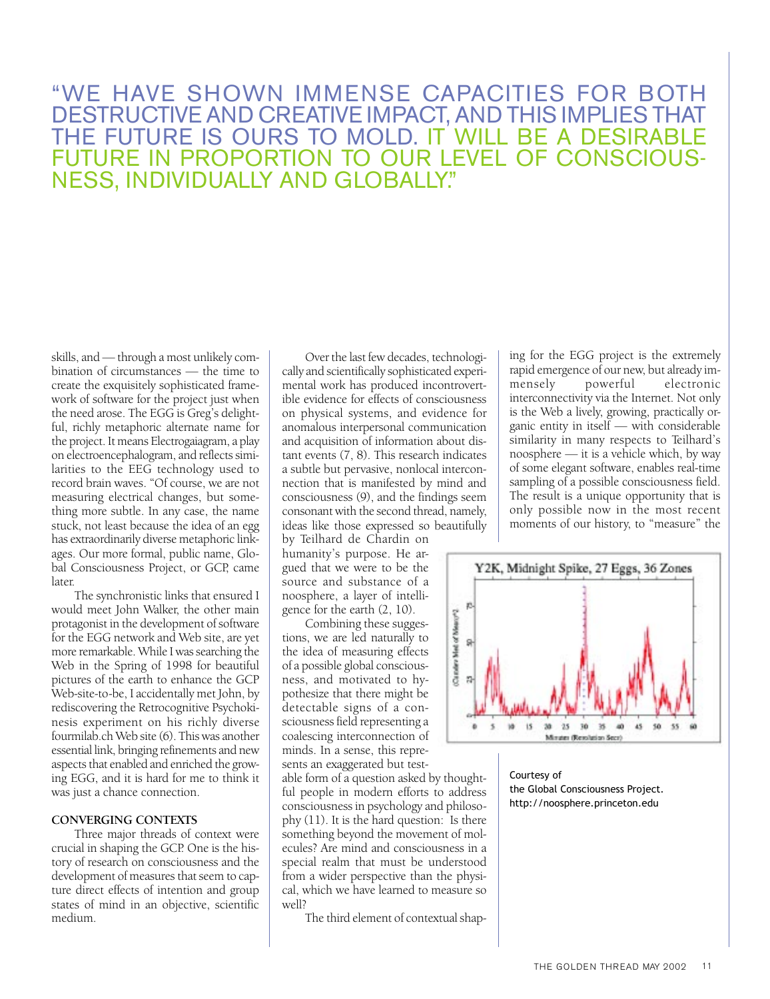# "WE HAVE SHOWN IMMENSE CAPACITIES FOR BOTH DESTRUCTIVE AND CREATIVE IMPACT, AND THIS IMPLIES THAT THE FUTURE IS OURS TO MOLD. IT WILL BE A DESIRA FUTURE IN PROPORTION TO OUR LEVEL OF CONSCIO NESS, INDIVIDUALLY AND GLOBALLY."

skills, and — through a most unlikely combination of circumstances — the time to create the exquisitely sophisticated framework of software for the project just when the need arose. The EGG is Greg's delightful, richly metaphoric alternate name for the project. It means Electrogaiagram, a play on electroencephalogram, and reflects similarities to the EEG technology used to record brain waves. "Of course, we are not measuring electrical changes, but something more subtle. In any case, the name stuck, not least because the idea of an egg has extraordinarily diverse metaphoric linkages. Our more formal, public name, Global Consciousness Project, or GCP, came later.

The synchronistic links that ensured I would meet John Walker, the other main protagonist in the development of software for the EGG network and Web site, are yet more remarkable. While I was searching the Web in the Spring of 1998 for beautiful pictures of the earth to enhance the GCP Web-site-to-be, I accidentally met John, by rediscovering the Retrocognitive Psychokinesis experiment on his richly diverse fourmilab.ch Web site (6). This was another essential link, bringing refinements and new aspects that enabled and enriched the growing EGG, and it is hard for me to think it was just a chance connection.

### **CONVERGING CONTEXTS**

Three major threads of context were crucial in shaping the GCP. One is the history of research on consciousness and the development of measures that seem to capture direct effects of intention and group states of mind in an objective, scientific medium.

Over the last few decades, technologically and scientifically sophisticated experimental work has produced incontrovertible evidence for effects of consciousness on physical systems, and evidence for anomalous interpersonal communication and acquisition of information about distant events (7, 8). This research indicates a subtle but pervasive, nonlocal interconnection that is manifested by mind and consciousness (9), and the findings seem consonant with the second thread, namely, ideas like those expressed so beautifully

by Teilhard de Chardin on humanity's purpose. He argued that we were to be the source and substance of a noosphere, a layer of intelligence for the earth (2, 10).

Combining these suggestions, we are led naturally to the idea of measuring effects of a possible global consciousness, and motivated to hypothesize that there might be detectable signs of a consciousness field representing a coalescing interconnection of minds. In a sense, this represents an exaggerated but test-

able form of a question asked by thoughtful people in modern efforts to address consciousness in psychology and philosophy (11). It is the hard question: Is there something beyond the movement of molecules? Are mind and consciousness in a special realm that must be understood from a wider perspective than the physical, which we have learned to measure so well?

The third element of contextual shap-

ing for the EGG project is the extremely rapid emergence of our new, but already immensely powerful electronic interconnectivity via the Internet. Not only is the Web a lively, growing, practically organic entity in itself — with considerable similarity in many respects to Teilhard's noosphere — it is a vehicle which, by way of some elegant software, enables real-time sampling of a possible consciousness field. The result is a unique opportunity that is only possible now in the most recent moments of our history, to "measure" the



Courtesy of the Global Consciousness Project. http://noosphere.princeton.edu